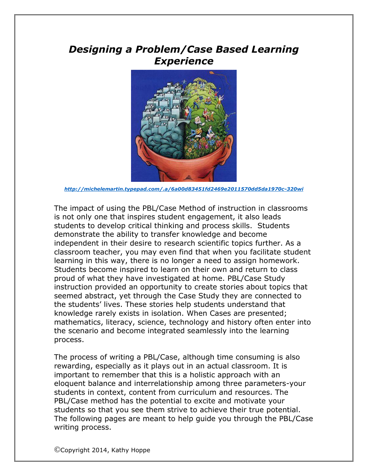# *Designing a Problem/Case Based Learning Experience*



*<http://michelemartin.typepad.com/.a/6a00d83451fd2469e2011570dd5da1970c-320wi>*

The impact of using the PBL/Case Method of instruction in classrooms is not only one that inspires student engagement, it also leads students to develop critical thinking and process skills. Students demonstrate the ability to transfer knowledge and become independent in their desire to research scientific topics further. As a classroom teacher, you may even find that when you facilitate student learning in this way, there is no longer a need to assign homework. Students become inspired to learn on their own and return to class proud of what they have investigated at home. PBL/Case Study instruction provided an opportunity to create stories about topics that seemed abstract, yet through the Case Study they are connected to the students' lives. These stories help students understand that knowledge rarely exists in isolation. When Cases are presented; mathematics, literacy, science, technology and history often enter into the scenario and become integrated seamlessly into the learning process.

The process of writing a PBL/Case, although time consuming is also rewarding, especially as it plays out in an actual classroom. It is important to remember that this is a holistic approach with an eloquent balance and interrelationship among three parameters-your students in context, content from curriculum and resources. The PBL/Case method has the potential to excite and motivate your students so that you see them strive to achieve their true potential. The following pages are meant to help guide you through the PBL/Case writing process.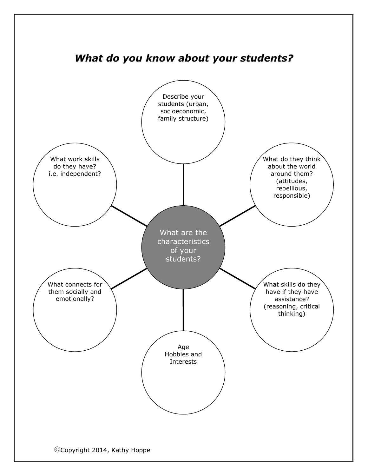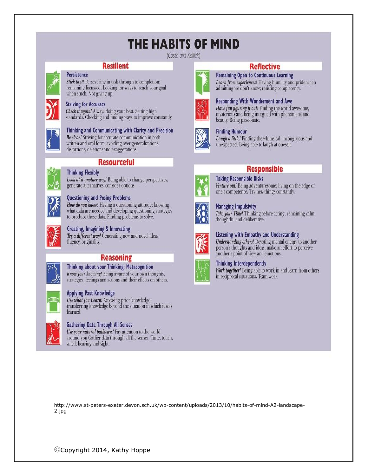# THE HABITS OF MIND

(Costa and Kallick)

### **Resilient**

**Persistence** Stick to it! Persevering in task through to completion; remaining focussed. Looking for ways to reach your goal when stuck. Not giving up.

### **Striving for Accuracy**

Check it again! Always doing your best. Setting high standards. Checking and finding ways to improve constantly.



### Thinking and Communicating with Clarity and Precision Be clear! Striving for accurate communication in both

written and oral form; avoiding over generalizations, distortions, deletions and exaggerations.



### **Resourceful**

**Thinking Flexibly** Look at it another way! Being able to change perspectives, generate alternatives, consider options.



### **Questioning and Posing Problems**

How do you know! Having a questioning attitude; knowing what data are needed and developing questioning strategies to produce those data. Finding problems to solve.

### Creating, Imagining & Innovating

Try a different way! Generating new and novel ideas, fluency, originality.

### **Reasoning**



Thinking about your Thinking: Metacognition Know your knowing! Being aware of your own thoughts, strategies, feelings and actions and their effects on others.

### **Applying Past Knowledge**

Use what you Learn! Accessing prior knowledge; transferring knowledge beyond the situation in which it was learned.



### **Gathering Data Through All Senses**

Use your natural pathways! Pay attention to the world around you Gather data through all the senses. Taste, touch, smell, hearing and sight.





**Finding Humour** 

beauty. Being passionate.

Laugh a little! Finding the whimsical, incongruous and unexpected. Being able to laugh at oneself.

Have fun figuring it out! Finding the world awesome,

mysterious and being intrigued with phenomena and

**Reflective** 

Learn from experiences! Having humility and pride when

**Remaining Open to Continuous Learning** 

**Responding With Wonderment and Awe** 

admitting we don't know; resisting complacency.



### **Responsible Taking Responsible Risks**

Venture out! Being adventuresome; living on the edge of one's competence. Try new things constantly.



### **Managing Impulsivity**

Take your Time! Thinking before acting; remaining calm, thoughtful and deliberative.



### Listening with Empathy and Understanding

Understanding others! Devoting mental energy to another person's thoughts and ideas; make an effort to perceive another's point of view and emotions.



Work together! Being able to work in and learn from others in reciprocal situations. Team work.

http://www.st-peters-exeter.devon.sch.uk/wp-content/uploads/2013/10/habits-of-mind-A2-landscape-2.jpg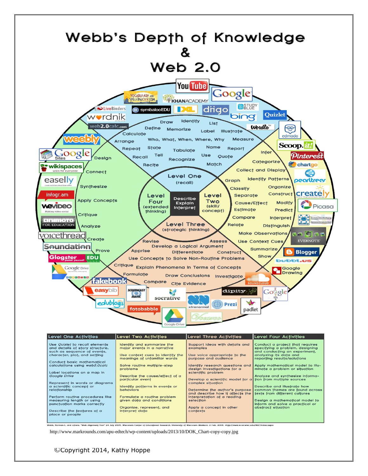

Identify research questions and

Develop a sciențific model for a

Determine the author's purpose<br>and describe how it affects the<br>interpretation of a reading<br>selection

nsin-Madison, 2 Feb. 2006. <http://www.wcer.wisc.edu/WAT/index.aspx

Apply a concept in other<br>contexts

design investigations for a

sciențific problem

complex situation

Apply mathematical model to illu-

Analyze and synthesize informa-<br>tion from multiple sources

common themes are found across<br>texts from different cultures

Design a mathematical model to inform and solve a practical or

minate a problem or situation

Describe and illustrate how

abstract situation

http://www.markrounds.com/apu-edtech/wp-content/uploads/2013/10/DOK\_Chart-copy-copy.jpg

Solve rouține mulțiple-step

Describe the cause/effect of a<br>particular event

ldențify pațțerns in evențs or<br>behaviors

Formulate a routine problem<br>given data and conditions

Organize, represent, and<br>interpret data

problems

.<br>»bb, Norman L. and others. "Web Alignment Tool" 24 July 2005. Wisconsin Center of Educational Research. University of W

### ©Copyright 2014, Kathy Hoppe

Label locations on a map in<br>Google Drive

relationship

Represent in words or diagrams<br>a scientific concept or

Perform routine procedures like<br>measuring length or using<br>punctuation marks correctly

Describe the features of a<br>place or people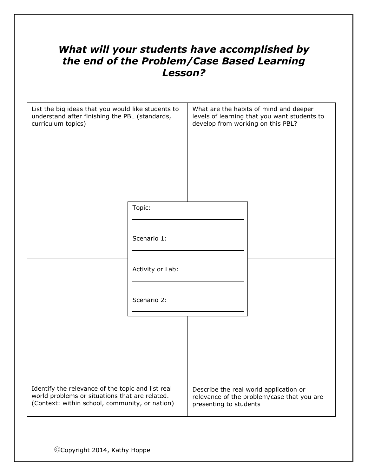# *What will your students have accomplished by the end of the Problem/Case Based Learning Lesson?*

| List the big ideas that you would like students to<br>understand after finishing the PBL (standards,<br>curriculum topics)                            |                  | develop from working on this PBL? | What are the habits of mind and deeper<br>levels of learning that you want students to |
|-------------------------------------------------------------------------------------------------------------------------------------------------------|------------------|-----------------------------------|----------------------------------------------------------------------------------------|
|                                                                                                                                                       | Topic:           |                                   |                                                                                        |
|                                                                                                                                                       | Scenario 1:      |                                   |                                                                                        |
|                                                                                                                                                       | Activity or Lab: |                                   |                                                                                        |
|                                                                                                                                                       | Scenario 2:      |                                   |                                                                                        |
|                                                                                                                                                       |                  |                                   |                                                                                        |
|                                                                                                                                                       |                  |                                   |                                                                                        |
| Identify the relevance of the topic and list real<br>world problems or situations that are related.<br>(Context: within school, community, or nation) |                  | presenting to students            | Describe the real world application or<br>relevance of the problem/case that you are   |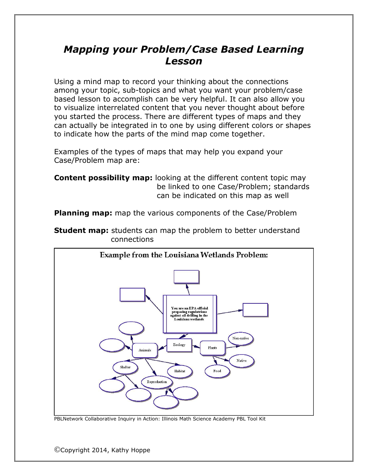# *Mapping your Problem/Case Based Learning Lesson*

Using a mind map to record your thinking about the connections among your topic, sub-topics and what you want your problem/case based lesson to accomplish can be very helpful. It can also allow you to visualize interrelated content that you never thought about before you started the process. There are different types of maps and they can actually be integrated in to one by using different colors or shapes to indicate how the parts of the mind map come together.

Examples of the types of maps that may help you expand your Case/Problem map are:

**Content possibility map:** looking at the different content topic may be linked to one Case/Problem; standards can be indicated on this map as well

**Planning map:** map the various components of the Case/Problem





PBLNetwork Collaborative Inquiry in Action: Illinois Math Science Academy PBL Tool Kit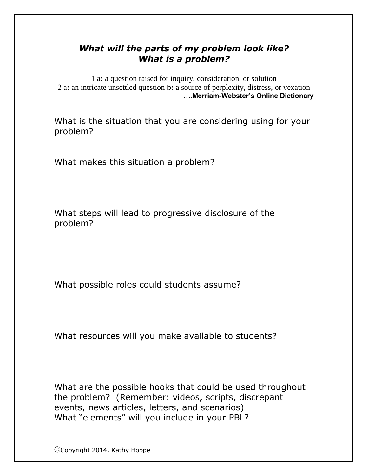## *What will the parts of my problem look like? What is a problem?*

1 a**:** a question raised for inquiry, consideration, or solution 2 a**:** an intricate unsettled question **b:** a source of perplexity, distress, or vexation **….Merriam-Webster's Online Dictionary**

What is the situation that you are considering using for your problem?

What makes this situation a problem?

What steps will lead to progressive disclosure of the problem?

What possible roles could students assume?

What resources will you make available to students?

What are the possible hooks that could be used throughout the problem? (Remember: videos, scripts, discrepant events, news articles, letters, and scenarios) What "elements" will you include in your PBL?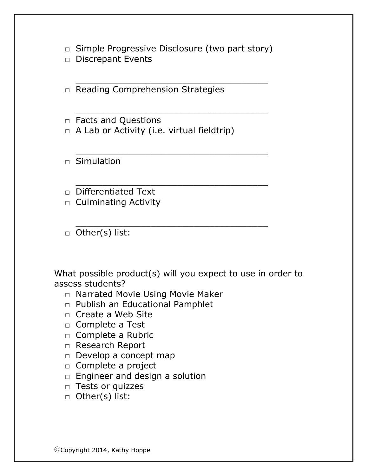$\Box$  Simple Progressive Disclosure (two part story)

\_\_\_\_\_\_\_\_\_\_\_\_\_\_\_\_\_\_\_\_\_\_\_\_\_\_\_\_\_\_\_\_\_\_\_\_

\_\_\_\_\_\_\_\_\_\_\_\_\_\_\_\_\_\_\_\_\_\_\_\_\_\_\_\_\_\_\_\_\_\_\_\_

\_\_\_\_\_\_\_\_\_\_\_\_\_\_\_\_\_\_\_\_\_\_\_\_\_\_\_\_\_\_\_\_\_\_\_\_

\_\_\_\_\_\_\_\_\_\_\_\_\_\_\_\_\_\_\_\_\_\_\_\_\_\_\_\_\_\_\_\_\_\_\_\_

\_\_\_\_\_\_\_\_\_\_\_\_\_\_\_\_\_\_\_\_\_\_\_\_\_\_\_\_\_\_\_\_\_\_\_\_

□ Discrepant Events

□ Reading Comprehension Strategies

- □ Facts and Questions
- $\Box$  A Lab or Activity (i.e. virtual fieldtrip)

□ Simulation

□ Differentiated Text

- $\Box$  Culminating Activity
- □ Other(s) list:

What possible product(s) will you expect to use in order to assess students?

- □ Narrated Movie Using Movie Maker
- □ Publish an Educational Pamphlet
- □ Create a Web Site
- □ Complete a Test
- □ Complete a Rubric
- □ Research Report
- □ Develop a concept map
- □ Complete a project
- □ Engineer and design a solution
- □ Tests or quizzes
- □ Other(s) list: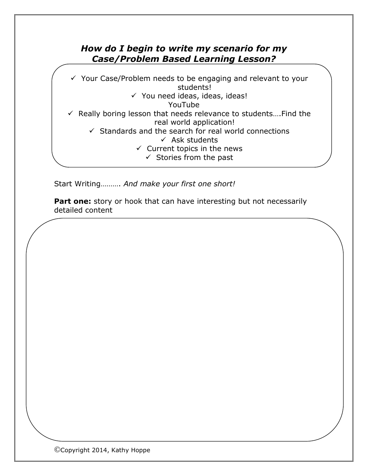### *How do I begin to write my scenario for my Case/Problem Based Learning Lesson?*

 $\checkmark$  Your Case/Problem needs to be engaging and relevant to your students!  $\checkmark$  You need ideas, ideas, ideas! YouTube  $\checkmark$  Really boring lesson that needs relevance to students.... Find the real world application!  $\checkmark$  Standards and the search for real world connections  $\checkmark$  Ask students  $\checkmark$  Current topics in the news  $\checkmark$  Stories from the past

Start Writing………. *And make your first one short!*

**Part one:** story or hook that can have interesting but not necessarily detailed content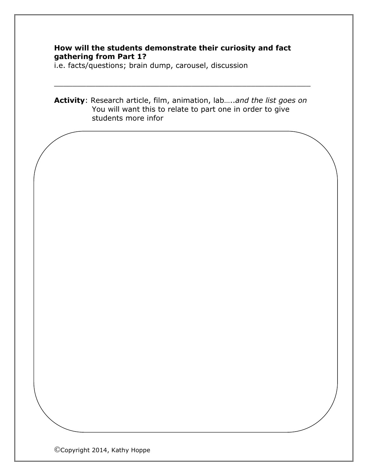### **How will the students demonstrate their curiosity and fact gathering from Part 1?**

i.e. facts/questions; brain dump, carousel, discussion

**Activity**: Research article, film, animation, lab…..*and the list goes on* You will want this to relate to part one in order to give students more infor

\_\_\_\_\_\_\_\_\_\_\_\_\_\_\_\_\_\_\_\_\_\_\_\_\_\_\_\_\_\_\_\_\_\_\_\_\_\_\_\_\_\_\_\_\_\_\_\_\_\_\_\_\_\_\_\_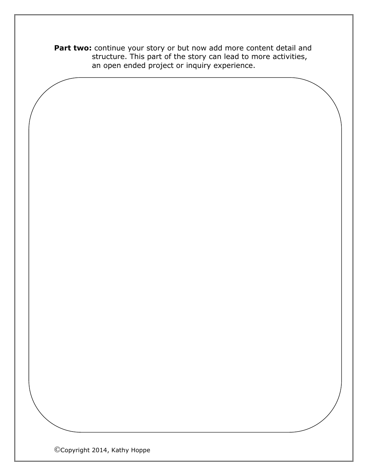Part two: continue your story or but now add more content detail and structure. This part of the story can lead to more activities, an open ended project or inquiry experience.